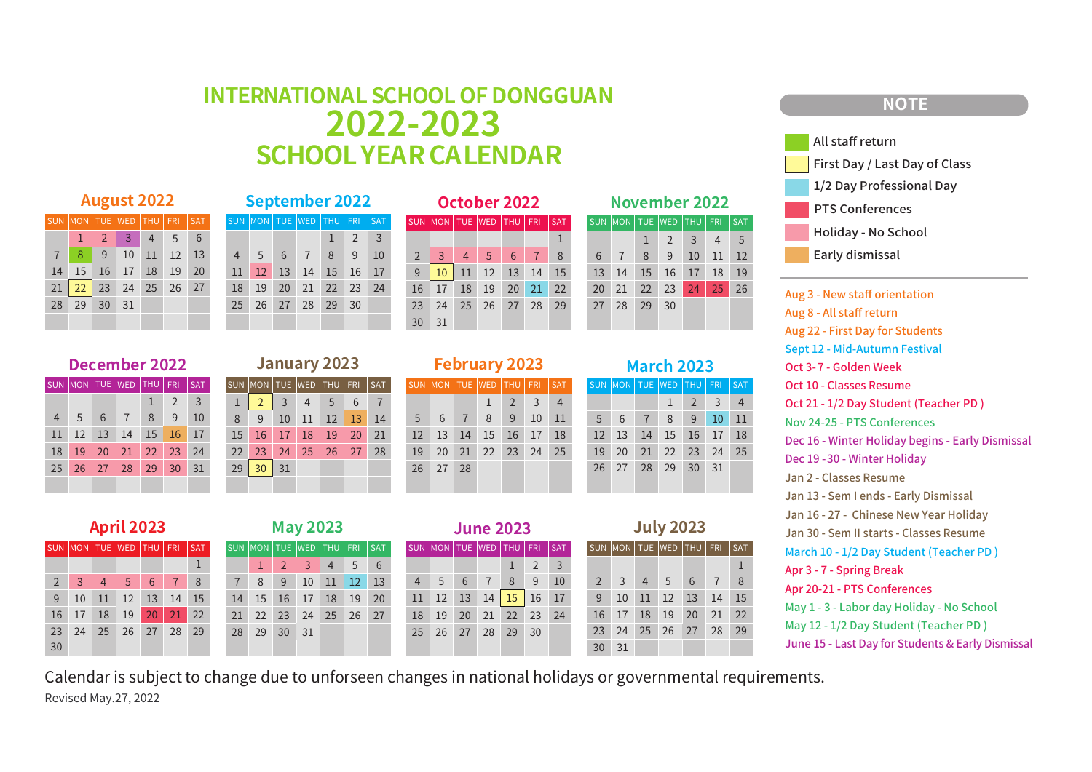## **INTERNATIONALSCHOOL OF DONGGUAN 2022-2023 SCHOOLYEARCALENDAR**

#### **August 2022**

| SUN MON TUE WED THU FRI SAT      |                                             |  |  |
|----------------------------------|---------------------------------------------|--|--|
|                                  | $1 \quad 2 \quad 3 \quad 4 \quad 5 \quad 6$ |  |  |
| 7 8 9 10 11 12 13                |                                             |  |  |
| 14   15   16   17   18   19   20 |                                             |  |  |
| 21 22 23 24 25 26 27             |                                             |  |  |
| 28 29 30 31                      |                                             |  |  |
|                                  |                                             |  |  |

22 23 24

21

27 28 29 30 31

 

|  |                 |  | September 2022              |           |                |
|--|-----------------|--|-----------------------------|-----------|----------------|
|  |                 |  | SUN MON TUE WED THU FRI SAT |           |                |
|  |                 |  |                             | $\vert$ 2 | $\overline{3}$ |
|  | $\overline{4}$  |  | 5 6 7 8 9                   |           | <b>10</b>      |
|  |                 |  | 11 12 13 14 15 16 17        |           |                |
|  | 18              |  | 19 20 21 22 23 24           |           |                |
|  | 25 <sup>2</sup> |  | 26 27 28 29 30              |           |                |
|  |                 |  |                             |           |                |

| <b>December 2022</b> |                          |    |    |    |            |     |    |                     |    | <b>January 2023</b> |    |       |            |
|----------------------|--------------------------|----|----|----|------------|-----|----|---------------------|----|---------------------|----|-------|------------|
|                      | UN  MON   TUE  WED   THU |    |    |    | <b>FRI</b> | SAT |    | SUN MON TUE WED THU |    |                     |    | FRI I | <b>SAT</b> |
|                      |                          |    |    |    |            | 3   |    |                     | 3  | $\overline{4}$      | 5  | 6     |            |
| $\overline{4}$       | 5                        | 6  |    | 8  | 9          | 10  | 8  | 9                   | 10 | 11                  | 12 | 13    | 14         |
| 11                   |                          | 13 | 14 | 15 | 16         |     | 15 | 16                  |    | 18                  | 19 | 20    | 21         |

29 30 31

23 24 25 26 27 28

|                | October 2022 |                |                                   |                |                |    |                |            |  |  |  |  |
|----------------|--------------|----------------|-----------------------------------|----------------|----------------|----|----------------|------------|--|--|--|--|
| <b>SAT</b>     |              |                | SUN   MON   TUE   WED   THU   FRI |                |                |    |                | <b>SAT</b> |  |  |  |  |
| $\overline{3}$ |              |                |                                   |                |                |    |                |            |  |  |  |  |
| 10             |              | $\overline{2}$ | $\overline{3}$                    | $\overline{4}$ | 5 <sup>5</sup> | 6  | $\overline{7}$ | 8          |  |  |  |  |
| 17             |              | 9              | 10                                |                | 11 12 13 14    |    |                | 15         |  |  |  |  |
| 24             |              | 16             | 17                                | 18             | 19             | 20 | 21             | 22         |  |  |  |  |
|                |              | 23             | 24                                | 25             | 26             | 27 | 28             | 29         |  |  |  |  |
|                |              | 30             | 31                                |                |                |    |                |            |  |  |  |  |
|                |              |                |                                   |                |                |    |                |            |  |  |  |  |

| November 2022 |                         |    |    |                |                |            |  |  |  |  |
|---------------|-------------------------|----|----|----------------|----------------|------------|--|--|--|--|
|               | SUN MON TUE WED THU FRI |    |    |                |                | <b>SAT</b> |  |  |  |  |
|               |                         | 1  | 2  | $\overline{3}$ | $\overline{4}$ | 5          |  |  |  |  |
| 6             | $\overline{7}$          | 8  | 9  | 10             | 11             | 12         |  |  |  |  |
| 13            | 14                      | 15 | 16 | 17             | 18             | 19         |  |  |  |  |
| 20            | 21                      | 22 | 23 | 24             | 25             | 26         |  |  |  |  |
| 27            | 28                      | 29 | 30 |                |                |            |  |  |  |  |
|               |                         |    |    |                |                |            |  |  |  |  |

**March 2023**  $\frac{1}{2}$ SUN  $\frac{1}{2}$ MON TUE WED THU FRI SAT

 6 8 9 10 11 13 15 16 17 18 20 22 23 24 25

29 30 31

 

27

<sup>23</sup>

 $2 \times 3 \times 4$ 

### **NOTE**



Aug 8 - All staff return Aug 3 - New staff orientation Aug 22 - First Day for Students Sept 12 - Mid-Autumn Festival March 10 - 1/2 Day Student (Teacher PD ) Oct 10 - Classes Resume Oct 21 - 1/2 Day Student (Teacher PD ) Jan 30 - Sem II starts - Classes Resume May 12 - 1/2 Day Student (Teacher PD ) May 1 - 3 - Labor day Holiday - No School Apr 20-21 - PTS Conferences Nov 24-25 - PTS Conferences Oct 3- 7 - Golden Week Dec 16 - Winter Holiday begins - Early Dismissal Dec 19 -30 - Winter Holiday Apr 3 - 7 - Spring Break June 15 - Last Day for Students & Early Dismissal Jan 2 - Classes Resume Jan 13 - Sem I ends - Early Dismissal Jan 16 - 27 - Chinese New Year Holiday

 **April 2023** MON TUE WED THU FRI SAT 2 3 4 5 6 7 8 11 13 14 15 16 17 18 19 20 21 22 25 26 27 28 29 

|                | <b>May 2023</b>             |          |                     |               |               |    |  |  |  |  |  |
|----------------|-----------------------------|----------|---------------------|---------------|---------------|----|--|--|--|--|--|
|                | SUN MON TUE WED THU FRI SAT |          |                     |               |               |    |  |  |  |  |  |
|                | $\mathbf{1}$                |          | $2 \quad 3 \quad 4$ |               | - 5           | 6  |  |  |  |  |  |
| $\overline{7}$ | $\mathcal{B}$               | 9        | 10                  |               | $11 \quad 12$ | 13 |  |  |  |  |  |
| 14             |                             | 15 16 17 |                     | <sup>18</sup> | 19            | 20 |  |  |  |  |  |
| 21             |                             |          | 22 23 24 25 26 27   |               |               |    |  |  |  |  |  |
| 28             | 29                          | 30       | 31                  |               |               |    |  |  |  |  |  |
|                |                             |          |                     |               |               |    |  |  |  |  |  |

|                | <b>June 2023</b>                                                                                                                                            |    |                |             |                |                |  |  |  |  |  |  |  |  |
|----------------|-------------------------------------------------------------------------------------------------------------------------------------------------------------|----|----------------|-------------|----------------|----------------|--|--|--|--|--|--|--|--|
|                | $\overline{\textsf{SUN}}$ $\overline{\textsf{MON}}$ $\overline{\textsf{TUE}}$ $\overline{\textsf{WED}}$ $\overline{\textsf{THU}}$ $\overline{\textsf{FRI}}$ |    |                |             |                | <b>SAT</b>     |  |  |  |  |  |  |  |  |
|                |                                                                                                                                                             |    |                | 1           | $\overline{2}$ | $\overline{3}$ |  |  |  |  |  |  |  |  |
| $\overline{4}$ | 5                                                                                                                                                           | 6  | $\overline{7}$ | 8           | 9              | 10             |  |  |  |  |  |  |  |  |
| 11             | 12 <sup>2</sup>                                                                                                                                             | 13 |                | 14 15       | 16             | 17             |  |  |  |  |  |  |  |  |
| 18             | 19                                                                                                                                                          | 20 | 21             | $\sqrt{22}$ | 23             | 24             |  |  |  |  |  |  |  |  |
| 25             | 26                                                                                                                                                          | 27 | 28 29          |             | 30             |                |  |  |  |  |  |  |  |  |
|                |                                                                                                                                                             |    |                |             |                |                |  |  |  |  |  |  |  |  |

**February 2023** MON TUE WED THU FRI SAT

 6 8 9 10 11 13 15 16 17 18 20 22 23 24 25 21

 

27 28

2 3 4

| - 11 11 |  |  |  |
|---------|--|--|--|
|         |  |  |  |

|                | SUN  MON   TUE  WED   THU   FRI |                |                |               |            | <b>SAT</b> |
|----------------|---------------------------------|----------------|----------------|---------------|------------|------------|
|                |                                 |                |                |               |            | 1          |
| $\overline{2}$ | $\overline{3}$                  | $\overline{4}$ | $\overline{5}$ | 6             | -7         | 8          |
| 9              | 10                              | 11             | $12 \quad 13$  |               | $\vert$ 14 | 15         |
| 16             | 17                              | 18             | 19             | <sup>20</sup> | 21         | 22         |
| 23             | 24                              | 25             | 26 27          |               | 28         | 29         |
| 30             | 31                              |                |                |               |            |            |

Calendar is subject to change due to unforseen changes in national holidays or governmental requirements. Revised May.27, 2022